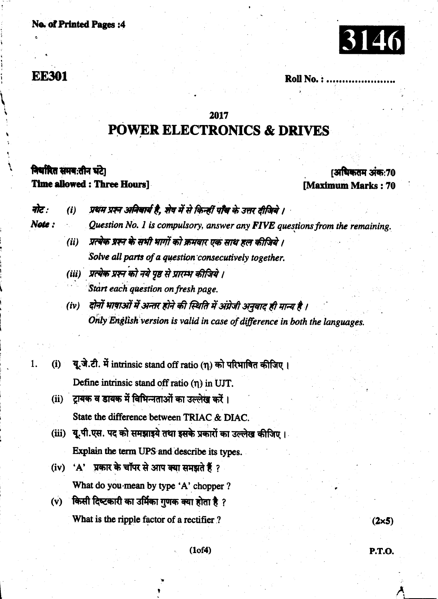#### **No. of Printed Pages:4**



### **EE301**

Note:

1.

Roll No.:.

## 2017 **POWER ELECTRONICS & DRIVES**

### निर्धारित समय:तीन घंटे।

**Time allowed: Three Hours!** 

#### (अधिकतम अंक:70 **Maximum Marks: 70**

 $(2\times5)$ 

P.T.O.

प्रथम प्रश्न अनिवार्य है, शेष में से किन्हीं पाँच के उत्तर दीजिये । नोट :  $(i)$ 

Question No. 1 is compulsory, answer any FIVE questions from the remaining.

- प्रत्येक प्रश्न के सभी भागों को क्रमवार एक साथ हल कीजिये ।  $(ii)$ Solve all parts of a question consecutively together.
- (iii) प्रत्येक प्रश्न को नये पृष्ठ से प्रारम्भ कीजिये । Start each question on fresh page.
- दोनों भाषाओं में अन्तर होने की स्थिति में अंग्रेजी अनुवाद ही मान्य है ।  $(iv)$ Only English version is valid in case of difference in both the languages.
- यू.जे.टी. में intrinsic stand off ratio (n) को परिभाषित कीजिए।  $(i)$ Define intrinsic stand off ratio  $(\eta)$  in UJT.
- (ii) ट्रायक व डायक में विभिन्नताओं का उल्लेख करें। State the difference between TRIAC & DIAC.
- (iii) यू.पी.एस. पद को समझाइये तथा इसके प्रकारों का उल्लेख कीजिए। Explain the term UPS and describe its types.
- (iv) 'A' प्रकार के चॉपर से आप क्या समझते हैं ? What do you mean by type 'A' chopper ?
- (v) किसी दिष्टकारी का उर्मिका गुणक क्या होता है ? What is the ripple factor of a rectifier ?

 $(1 of 4)$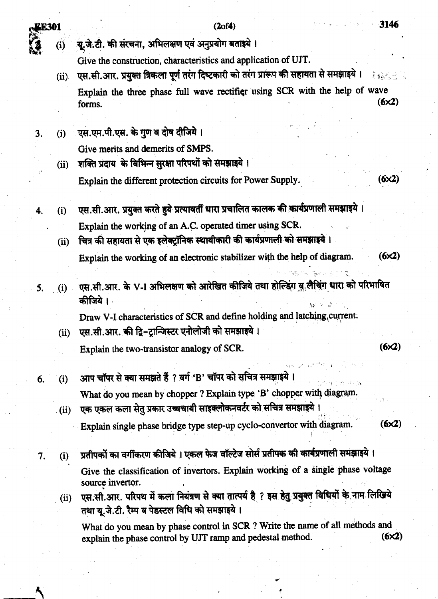3146

 $(6x2)$ 

 $(2of4)$ 

यू.जे.टी. की संरचना, अभिलक्षण एवं अनुप्रयोग बताइये।  $(i)$ 

Give the construction, characteristics and application of UJT.

- एस.सी.आर. प्रयुक्त त्रिकला पूर्ण तरंग दिष्टकारी को तरंग प्रारूप की सहायता से समझाइये।  $(ii)$ Explain the three phase full wave rectifier using SCR with the help of wave  $(6x2)$ forms.
- एस.एम.पी.एस. के गुण व दोष दीजिये।  $3<sub>1</sub>$  $(i)$ Give merits and demerits of SMPS.

**EE301** 

4.

- शक्ति प्रदाय के विभिन्न सुरक्षा परिपथों को समझाइये।  $(ii)$ Explain the different protection circuits for Power Supply.
- एस.सी.आर. प्रयुक्त करते हुये प्रत्यावर्ती धारा प्रचालित कालक की कार्यप्रणाली समझाइये।  $(i)$ Explain the working of an A.C. operated timer using SCR.
	- चित्र की सहायता से एक इलेक्ट्रॉनिक स्थायीकारी की कार्यप्रणाली को समझाइये।  $(ii)$ Explain the working of an electronic stabilizer with the help of diagram.  $(6x2)$
- एस.सी.आर. के V-I अभिलक्षण को आरेखित कीजिये तथा होल्डिंग वु लैचिंग धारा को परिभाषित 5.  $(i)$ कीजिये ।

Draw V-I characteristics of SCR and define holding and latching current.

एस.सी.आर. की द्वि-टान्जिस्टर एनोलोजी को समझाइये।  $(ii)$ 

Explain the two-transistor analogy of SCR.

 $(6x2)$ 

- आप चॉपर से क्या समझते हैं ? वर्ग 'B' चॉपर को सचित्र समझाइये ।  $(i)$ 6. What do you mean by chopper ? Explain type 'B' chopper with diagram. एक एकल कला सेतु प्रकार उच्चचायी साइक्लोकनवर्टर को सचित्र समझाइये ।  $(ii)$ 
	- Explain single phase bridge type step-up cyclo-convertor with diagram.  $(6x2)$
- प्रतीपकों का वर्गीकरण कीजिये । एकल फेज वॉल्टेज सोर्स प्रतीपक की कार्यप्रणाली समझाइये । 7.  $(i)$ Give the classification of invertors. Explain working of a single phase voltage source invertor.
	- एस.सी.आर. परिपथ में कला नियंत्रण से क्या तात्पर्य है ? इस हेतु प्रयुक्त विधियों के नाम लिखिये  $(ii)$ तथा यू.जे.टी. रैम्प व पेडस्टल विधि को समझाइये।

What do you mean by phase control in SCR ? Write the name of all methods and  $(6x2)$ explain the phase control by UJT ramp and pedestal method.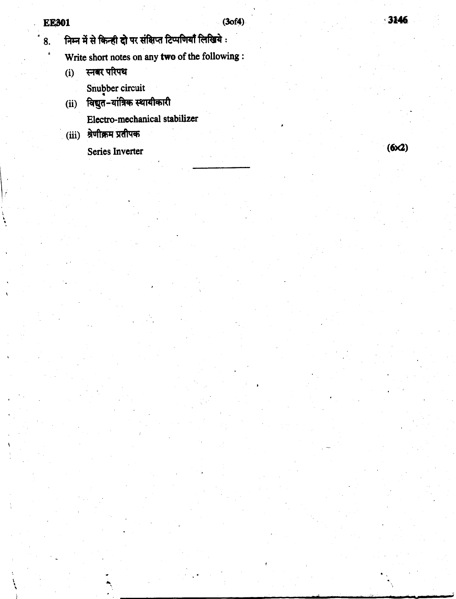- निम्न में से किन्ही दो पर संक्षिप्त टिप्पणियाँ लिखिये : 8.
	- Write short notes on any two of the following :
	- स्नबर परिपथ  $(i)$ 
		- Snubber circuit
	- (ii) विद्युत-यांत्रिक स्थायीकारी Electro-mechanical stabilizer
	- (iii) श्रेणीक्रम प्रतीपक

Series Inverter

 $(6x2)$